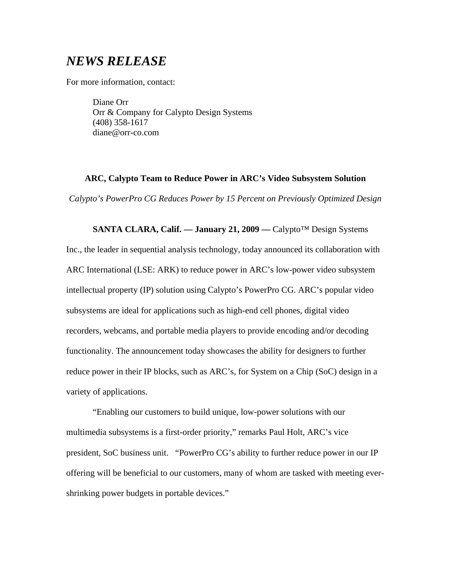# *NEWS RELEASE*

For more information, contact:

Diane Orr Orr & Company for Calypto Design Systems (408) 358-1617 diane@orr-co.com

#### **ARC, Calypto Team to Reduce Power in ARC's Video Subsystem Solution**

*Calypto's PowerPro CG Reduces Power by 15 Percent on Previously Optimized Design* 

**SANTA CLARA, Calif. –– January 21, 2009 ––** Calypto™ Design Systems Inc., the leader in sequential analysis technology, today announced its collaboration with ARC International (LSE: ARK) to reduce power in ARC's low-power video subsystem intellectual property (IP) solution using Calypto's PowerPro CG. ARC's popular video subsystems are ideal for applications such as high-end cell phones, digital video recorders, webcams, and portable media players to provide encoding and/or decoding functionality. The announcement today showcases the ability for designers to further reduce power in their IP blocks, such as ARC's, for System on a Chip (SoC) design in a variety of applications.

"Enabling our customers to build unique, low-power solutions with our multimedia subsystems is a first-order priority," remarks Paul Holt, ARC's vice president, SoC business unit. "PowerPro CG's ability to further reduce power in our IP offering will be beneficial to our customers, many of whom are tasked with meeting evershrinking power budgets in portable devices."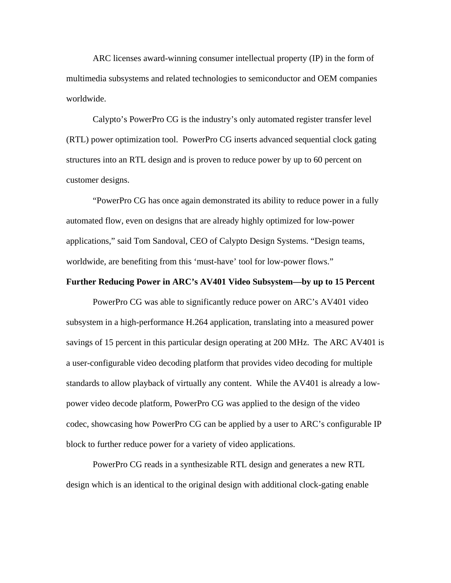ARC licenses award-winning consumer intellectual property (IP) in the form of multimedia subsystems and related technologies to semiconductor and OEM companies worldwide.

Calypto's PowerPro CG is the industry's only automated register transfer level (RTL) power optimization tool. PowerPro CG inserts advanced sequential clock gating structures into an RTL design and is proven to reduce power by up to 60 percent on customer designs.

"PowerPro CG has once again demonstrated its ability to reduce power in a fully automated flow, even on designs that are already highly optimized for low-power applications," said Tom Sandoval, CEO of Calypto Design Systems. "Design teams, worldwide, are benefiting from this 'must-have' tool for low-power flows."

## **Further Reducing Power in ARC's AV401 Video Subsystem—by up to 15 Percent**

PowerPro CG was able to significantly reduce power on ARC's AV401 video subsystem in a high-performance H.264 application, translating into a measured power savings of 15 percent in this particular design operating at 200 MHz. The ARC AV401 is a user-configurable video decoding platform that provides video decoding for multiple standards to allow playback of virtually any content. While the AV401 is already a lowpower video decode platform, PowerPro CG was applied to the design of the video codec, showcasing how PowerPro CG can be applied by a user to ARC's configurable IP block to further reduce power for a variety of video applications.

PowerPro CG reads in a synthesizable RTL design and generates a new RTL design which is an identical to the original design with additional clock-gating enable